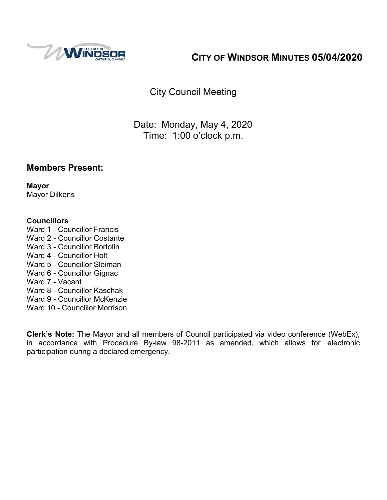

# **CITY OF WINDSOR MINUTES 05/04/2020**

City Council Meeting

Date: Monday, May 4, 2020 Time: 1:00 o'clock p.m.

#### **Members Present:**

**Mayor** Mayor Dilkens

#### **Councillors**

- Ward 1 Councillor Francis
- Ward 2 Councillor Costante
- Ward 3 Councillor Bortolin
- Ward 4 Councillor Holt
- Ward 5 Councillor Sleiman
- Ward 6 Councillor Gignac
- Ward 7 Vacant
- Ward 8 Councillor Kaschak
- Ward 9 Councillor McKenzie
- Ward 10 Councillor Morrison

**Clerk's Note:** The Mayor and all members of Council participated via video conference (WebEx), in accordance with Procedure By-law 98-2011 as amended, which allows for electronic participation during a declared emergency.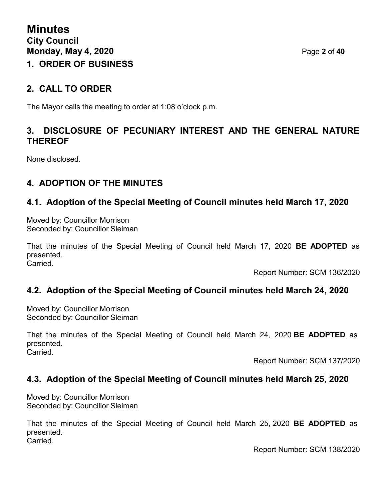## **2. CALL TO ORDER**

The Mayor calls the meeting to order at 1:08 o'clock p.m.

## **3. DISCLOSURE OF PECUNIARY INTEREST AND THE GENERAL NATURE THEREOF**

None disclosed.

## **4. ADOPTION OF THE MINUTES**

## **4.1. Adoption of the Special Meeting of Council minutes held March 17, 2020**

Moved by: Councillor Morrison Seconded by: Councillor Sleiman

That the minutes of the Special Meeting of Council held March 17, 2020 **BE ADOPTED** as presented. **Carried** 

Report Number: SCM 136/2020

#### **4.2. Adoption of the Special Meeting of Council minutes held March 24, 2020**

Moved by: Councillor Morrison Seconded by: Councillor Sleiman

That the minutes of the Special Meeting of Council held March 24, 2020 **BE ADOPTED** as presented. **Carried** 

Report Number: SCM 137/2020

#### **4.3. Adoption of the Special Meeting of Council minutes held March 25, 2020**

Moved by: Councillor Morrison Seconded by: Councillor Sleiman

That the minutes of the Special Meeting of Council held March 25, 2020 **BE ADOPTED** as presented. Carried.

Report Number: SCM 138/2020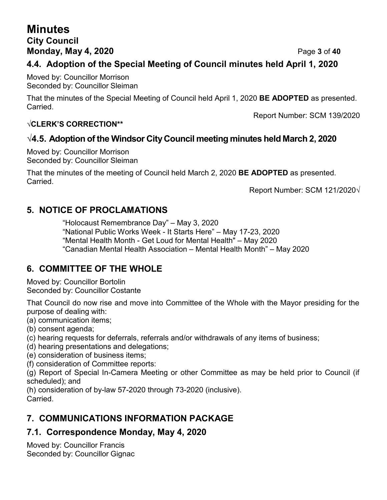# **Minutes City Council Monday, May 4, 2020** Page **3** of **40**

## **4.4. Adoption of the Special Meeting of Council minutes held April 1, 2020**

Moved by: Councillor Morrison Seconded by: Councillor Sleiman

That the minutes of the Special Meeting of Council held April 1, 2020 **BE ADOPTED** as presented. Carried.

Report Number: SCM 139/2020

#### **√CLERK'S CORRECTION\*\***

## **√4.5. Adoption of the Windsor City Council meeting minutes held March 2, 2020**

Moved by: Councillor Morrison Seconded by: Councillor Sleiman

That the minutes of the meeting of Council held March 2, 2020 **BE ADOPTED** as presented. Carried.

Report Number: SCM 121/2020√

## **5. NOTICE OF PROCLAMATIONS**

"Holocaust Remembrance Day" – May 3, 2020 "National Public Works Week - It Starts Here" – May 17-23, 2020 "Mental Health Month - Get Loud for Mental Health" – May 2020 "Canadian Mental Health Association – Mental Health Month" – May 2020

## **6. COMMITTEE OF THE WHOLE**

Moved by: Councillor Bortolin Seconded by: Councillor Costante

That Council do now rise and move into Committee of the Whole with the Mayor presiding for the purpose of dealing with:

(a) communication items;

- (b) consent agenda;
- (c) hearing requests for deferrals, referrals and/or withdrawals of any items of business;
- (d) hearing presentations and delegations;
- (e) consideration of business items;

(f) consideration of Committee reports:

(g) Report of Special In-Camera Meeting or other Committee as may be held prior to Council (if scheduled); and

(h) consideration of by-law 57-2020 through 73-2020 (inclusive). Carried.

## **7. COMMUNICATIONS INFORMATION PACKAGE**

## **7.1. Correspondence Monday, May 4, 2020**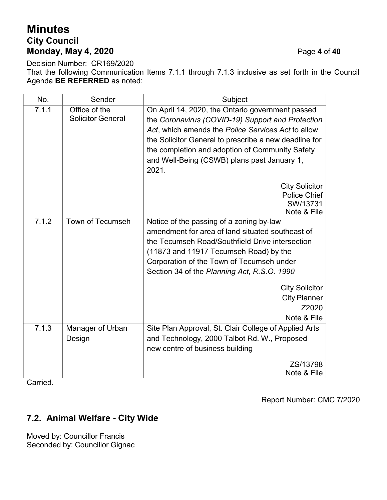# **Minutes City Council Monday, May 4, 2020** Page **4** of **40**

Decision Number: CR169/2020 That the following Communication Items 7.1.1 through 7.1.3 inclusive as set forth in the Council Agenda **BE REFERRED** as noted:

| No.   | Sender                                    | Subject                                                                                                                                                                                                                                                                                                                                        |  |
|-------|-------------------------------------------|------------------------------------------------------------------------------------------------------------------------------------------------------------------------------------------------------------------------------------------------------------------------------------------------------------------------------------------------|--|
| 7.1.1 | Office of the<br><b>Solicitor General</b> | On April 14, 2020, the Ontario government passed<br>the Coronavirus (COVID-19) Support and Protection<br>Act, which amends the Police Services Act to allow<br>the Solicitor General to prescribe a new deadline for<br>the completion and adoption of Community Safety<br>and Well-Being (CSWB) plans past January 1,<br>2021.                |  |
|       |                                           | <b>City Solicitor</b><br><b>Police Chief</b><br>SW/13731<br>Note & File                                                                                                                                                                                                                                                                        |  |
| 7.1.2 | Town of Tecumseh                          | Notice of the passing of a zoning by-law<br>amendment for area of land situated southeast of<br>the Tecumseh Road/Southfield Drive intersection<br>(11873 and 11917 Tecumseh Road) by the<br>Corporation of the Town of Tecumseh under<br>Section 34 of the Planning Act, R.S.O. 1990<br><b>City Solicitor</b><br><b>City Planner</b><br>Z2020 |  |
|       |                                           | Note & File                                                                                                                                                                                                                                                                                                                                    |  |
| 7.1.3 | Manager of Urban<br>Design                | Site Plan Approval, St. Clair College of Applied Arts<br>and Technology, 2000 Talbot Rd. W., Proposed<br>new centre of business building<br>ZS/13798                                                                                                                                                                                           |  |
|       |                                           | Note & File                                                                                                                                                                                                                                                                                                                                    |  |

Carried.

Report Number: CMC 7/2020

# **7.2. Animal Welfare - City Wide**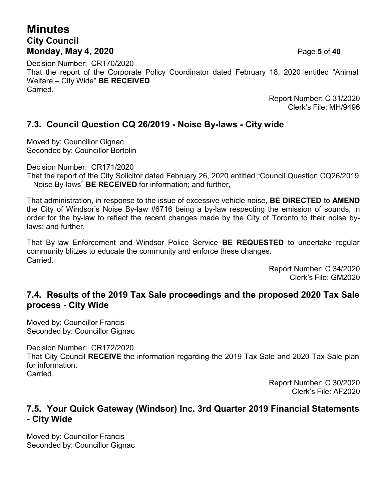## **Minutes City Council Monday, May 4, 2020** Page **5** of **40**

Decision Number: CR170/2020 That the report of the Corporate Policy Coordinator dated February 18, 2020 entitled "Animal Welfare – City Wide" **BE RECEIVED**. Carried.

Report Number: C 31/2020 Clerk's File: MH/9496

### **7.3. Council Question CQ 26/2019 - Noise By-laws - City wide**

Moved by: Councillor Gignac Seconded by: Councillor Bortolin

Decision Number: CR171/2020

That the report of the City Solicitor dated February 26, 2020 entitled "Council Question CQ26/2019 – Noise By-laws" **BE RECEIVED** for information; and further,

That administration, in response to the issue of excessive vehicle noise, **BE DIRECTED** to **AMEND** the City of Windsor's Noise By-law #6716 being a by-law respecting the emission of sounds, in order for the by-law to reflect the recent changes made by the City of Toronto to their noise bylaws; and further,

That By-law Enforcement and Windsor Police Service **BE REQUESTED** to undertake regular community blitzes to educate the community and enforce these changes. Carried.

Report Number: C 34/2020 Clerk's File: GM2020

#### **7.4. Results of the 2019 Tax Sale proceedings and the proposed 2020 Tax Sale process - City Wide**

Moved by: Councillor Francis Seconded by: Councillor Gignac

Decision Number: CR172/2020 That City Council **RECEIVE** the information regarding the 2019 Tax Sale and 2020 Tax Sale plan for information. **Carried** 

> Report Number: C 30/2020 Clerk's File: AF2020

#### **7.5. Your Quick Gateway (Windsor) Inc. 3rd Quarter 2019 Financial Statements - City Wide**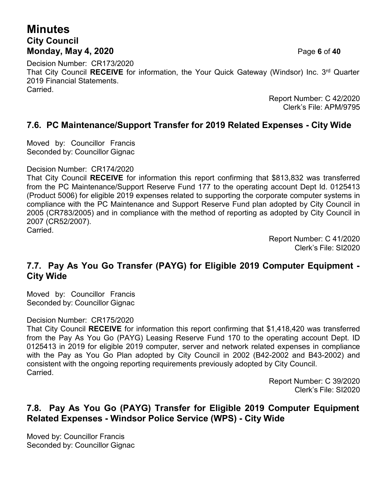# **Minutes City Council Monday, May 4, 2020** Page **6** of **40**

Decision Number: CR173/2020 That City Council RECEIVE for information, the Your Quick Gateway (Windsor) Inc. 3<sup>rd</sup> Quarter 2019 Financial Statements. Carried.

Report Number: C 42/2020 Clerk's File: APM/9795

#### **7.6. PC Maintenance/Support Transfer for 2019 Related Expenses - City Wide**

Moved by: Councillor Francis Seconded by: Councillor Gignac

#### Decision Number: CR174/2020

That City Council **RECEIVE** for information this report confirming that \$813,832 was transferred from the PC Maintenance/Support Reserve Fund 177 to the operating account Dept Id. 0125413 (Product 5006) for eligible 2019 expenses related to supporting the corporate computer systems in compliance with the PC Maintenance and Support Reserve Fund plan adopted by City Council in 2005 (CR783/2005) and in compliance with the method of reporting as adopted by City Council in 2007 (CR52/2007). Carried.

> Report Number: C 41/2020 Clerk's File: SI2020

#### **7.7. Pay As You Go Transfer (PAYG) for Eligible 2019 Computer Equipment - City Wide**

Moved by: Councillor Francis Seconded by: Councillor Gignac

#### Decision Number: CR175/2020

That City Council **RECEIVE** for information this report confirming that \$1,418,420 was transferred from the Pay As You Go (PAYG) Leasing Reserve Fund 170 to the operating account Dept. ID 0125413 in 2019 for eligible 2019 computer, server and network related expenses in compliance with the Pay as You Go Plan adopted by City Council in 2002 (B42-2002 and B43-2002) and consistent with the ongoing reporting requirements previously adopted by City Council. Carried.

> Report Number: C 39/2020 Clerk's File: SI2020

## **7.8. Pay As You Go (PAYG) Transfer for Eligible 2019 Computer Equipment Related Expenses - Windsor Police Service (WPS) - City Wide**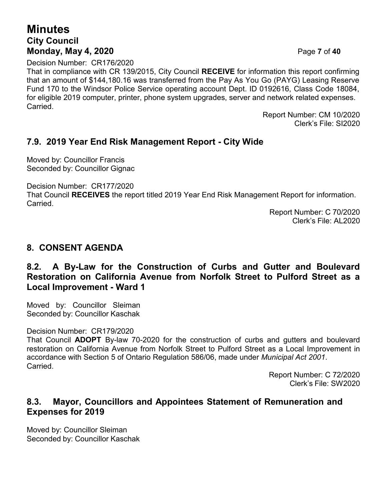# **Minutes City Council Monday, May 4, 2020** Page **7** of **40**

Decision Number: CR176/2020

That in compliance with CR 139/2015, City Council **RECEIVE** for information this report confirming that an amount of \$144,180.16 was transferred from the Pay As You Go (PAYG) Leasing Reserve Fund 170 to the Windsor Police Service operating account Dept. ID 0192616, Class Code 18084, for eligible 2019 computer, printer, phone system upgrades, server and network related expenses. **Carried** 

> Report Number: CM 10/2020 Clerk's File: SI2020

#### **7.9. 2019 Year End Risk Management Report - City Wide**

Moved by: Councillor Francis Seconded by: Councillor Gignac

Decision Number: CR177/2020

That Council **RECEIVES** the report titled 2019 Year End Risk Management Report for information. **Carried** 

Report Number: C 70/2020 Clerk's File: AL2020

#### **8. CONSENT AGENDA**

#### **8.2. A By-Law for the Construction of Curbs and Gutter and Boulevard Restoration on California Avenue from Norfolk Street to Pulford Street as a Local Improvement - Ward 1**

Moved by: Councillor Sleiman Seconded by: Councillor Kaschak

Decision Number: CR179/2020

That Council **ADOPT** By-law 70-2020 for the construction of curbs and gutters and boulevard restoration on California Avenue from Norfolk Street to Pulford Street as a Local Improvement in accordance with Section 5 of Ontario Regulation 586/06, made under *Municipal Act 2001*. Carried.

> Report Number: C 72/2020 Clerk's File: SW2020

#### **8.3. Mayor, Councillors and Appointees Statement of Remuneration and Expenses for 2019**

Moved by: Councillor Sleiman Seconded by: Councillor Kaschak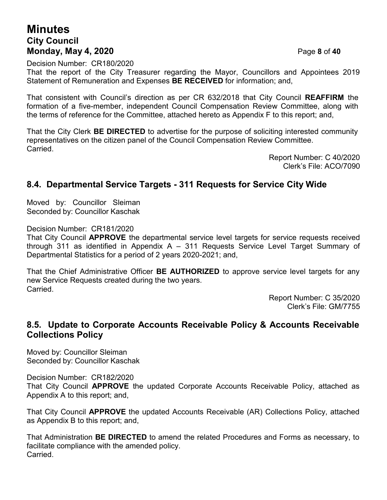## **Minutes City Council Monday, May 4, 2020** Page **8** of **40**

Decision Number: CR180/2020

That the report of the City Treasurer regarding the Mayor, Councillors and Appointees 2019 Statement of Remuneration and Expenses **BE RECEIVED** for information; and,

That consistent with Council's direction as per CR 632/2018 that City Council **REAFFIRM** the formation of a five-member, independent Council Compensation Review Committee, along with the terms of reference for the Committee, attached hereto as Appendix F to this report; and,

That the City Clerk **BE DIRECTED** to advertise for the purpose of soliciting interested community representatives on the citizen panel of the Council Compensation Review Committee. Carried.

> Report Number: C 40/2020 Clerk's File: ACO/7090

#### **8.4. Departmental Service Targets - 311 Requests for Service City Wide**

Moved by: Councillor Sleiman Seconded by: Councillor Kaschak

Decision Number: CR181/2020

That City Council **APPROVE** the departmental service level targets for service requests received through 311 as identified in Appendix A – 311 Requests Service Level Target Summary of Departmental Statistics for a period of 2 years 2020-2021; and,

That the Chief Administrative Officer **BE AUTHORIZED** to approve service level targets for any new Service Requests created during the two years. Carried.

> Report Number: C 35/2020 Clerk's File: GM/7755

#### **8.5. Update to Corporate Accounts Receivable Policy & Accounts Receivable Collections Policy**

Moved by: Councillor Sleiman Seconded by: Councillor Kaschak

Decision Number: CR182/2020

That City Council **APPROVE** the updated Corporate Accounts Receivable Policy, attached as Appendix A to this report; and,

That City Council **APPROVE** the updated Accounts Receivable (AR) Collections Policy, attached as Appendix B to this report; and,

That Administration **BE DIRECTED** to amend the related Procedures and Forms as necessary, to facilitate compliance with the amended policy. Carried.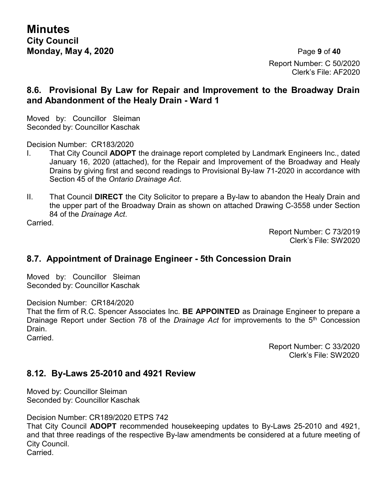**Minutes City Council Monday, May 4, 2020** Page **9** of **40**

Report Number: C 50/2020 Clerk's File: AF2020

#### **8.6. Provisional By Law for Repair and Improvement to the Broadway Drain and Abandonment of the Healy Drain - Ward 1**

Moved by: Councillor Sleiman Seconded by: Councillor Kaschak

Decision Number: CR183/2020

- I. That City Council **ADOPT** the drainage report completed by Landmark Engineers Inc., dated January 16, 2020 (attached), for the Repair and Improvement of the Broadway and Healy Drains by giving first and second readings to Provisional By-law 71-2020 in accordance with Section 45 of the *Ontario Drainage Act*.
- II. That Council **DIRECT** the City Solicitor to prepare a By-law to abandon the Healy Drain and the upper part of the Broadway Drain as shown on attached Drawing C-3558 under Section 84 of the *Drainage Act*.

Carried.

Report Number: C 73/2019 Clerk's File: SW2020

#### **8.7. Appointment of Drainage Engineer - 5th Concession Drain**

Moved by: Councillor Sleiman Seconded by: Councillor Kaschak

Decision Number: CR184/2020

That the firm of R.C. Spencer Associates Inc. **BE APPOINTED** as Drainage Engineer to prepare a Drainage Report under Section 78 of the *Drainage Act* for improvements to the 5th Concession Drain.

Carried.

Report Number: C 33/2020 Clerk's File: SW2020

#### **8.12. By-Laws 25-2010 and 4921 Review**

Moved by: Councillor Sleiman Seconded by: Councillor Kaschak

Decision Number: CR189/2020 ETPS 742

That City Council **ADOPT** recommended housekeeping updates to By-Laws 25-2010 and 4921, and that three readings of the respective By-law amendments be considered at a future meeting of City Council.

Carried.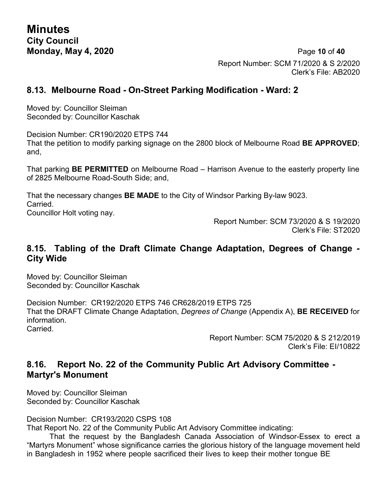**Monday, May 4, 2020** Page **10** of **40** Report Number: SCM 71/2020 & S 2/2020 Clerk's File: AB2020

#### **8.13. Melbourne Road - On-Street Parking Modification - Ward: 2**

Moved by: Councillor Sleiman Seconded by: Councillor Kaschak

Decision Number: CR190/2020 ETPS 744

That the petition to modify parking signage on the 2800 block of Melbourne Road **BE APPROVED**; and,

That parking **BE PERMITTED** on Melbourne Road – Harrison Avenue to the easterly property line of 2825 Melbourne Road-South Side; and,

That the necessary changes **BE MADE** to the City of Windsor Parking By-law 9023. Carried.

Councillor Holt voting nay.

Report Number: SCM 73/2020 & S 19/2020 Clerk's File: ST2020

#### **8.15. Tabling of the Draft Climate Change Adaptation, Degrees of Change - City Wide**

Moved by: Councillor Sleiman Seconded by: Councillor Kaschak

Decision Number: CR192/2020 ETPS 746 CR628/2019 ETPS 725 That the DRAFT Climate Change Adaptation, *Degrees of Change* (Appendix A), **BE RECEIVED** for information. **Carried** 

> Report Number: SCM 75/2020 & S 212/2019 Clerk's File: EI/10822

#### **8.16. Report No. 22 of the Community Public Art Advisory Committee - Martyr's Monument**

Moved by: Councillor Sleiman Seconded by: Councillor Kaschak

Decision Number: CR193/2020 CSPS 108

That Report No. 22 of the Community Public Art Advisory Committee indicating:

That the request by the Bangladesh Canada Association of Windsor-Essex to erect a "Martyrs Monument" whose significance carries the glorious history of the language movement held in Bangladesh in 1952 where people sacrificed their lives to keep their mother tongue BE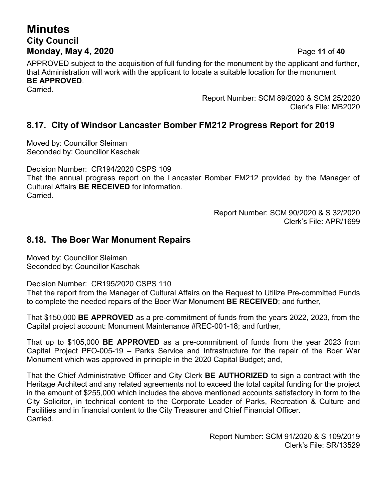# **Minutes City Council Monday, May 4, 2020** Page **11** of **40**

APPROVED subject to the acquisition of full funding for the monument by the applicant and further, that Administration will work with the applicant to locate a suitable location for the monument **BE APPROVED**. Carried.

> Report Number: SCM 89/2020 & SCM 25/2020 Clerk's File: MB2020

## **8.17. City of Windsor Lancaster Bomber FM212 Progress Report for 2019**

Moved by: Councillor Sleiman Seconded by: Councillor Kaschak

Decision Number: CR194/2020 CSPS 109

That the annual progress report on the Lancaster Bomber FM212 provided by the Manager of Cultural Affairs **BE RECEIVED** for information. **Carried** 

> Report Number: SCM 90/2020 & S 32/2020 Clerk's File: APR/1699

#### **8.18. The Boer War Monument Repairs**

Moved by: Councillor Sleiman Seconded by: Councillor Kaschak

Decision Number: CR195/2020 CSPS 110

That the report from the Manager of Cultural Affairs on the Request to Utilize Pre-committed Funds to complete the needed repairs of the Boer War Monument **BE RECEIVED**; and further,

That \$150,000 **BE APPROVED** as a pre-commitment of funds from the years 2022, 2023, from the Capital project account: Monument Maintenance #REC-001-18; and further,

That up to \$105,000 **BE APPROVED** as a pre-commitment of funds from the year 2023 from Capital Project PFO-005-19 – Parks Service and Infrastructure for the repair of the Boer War Monument which was approved in principle in the 2020 Capital Budget; and,

That the Chief Administrative Officer and City Clerk **BE AUTHORIZED** to sign a contract with the Heritage Architect and any related agreements not to exceed the total capital funding for the project in the amount of \$255,000 which includes the above mentioned accounts satisfactory in form to the City Solicitor, in technical content to the Corporate Leader of Parks, Recreation & Culture and Facilities and in financial content to the City Treasurer and Chief Financial Officer. Carried.

> Report Number: SCM 91/2020 & S 109/2019 Clerk's File: SR/13529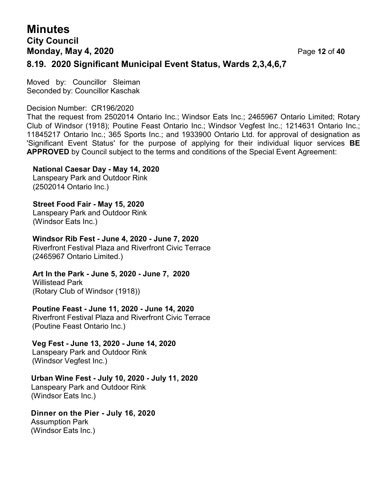## **Minutes City Council Monday, May 4, 2020** Page **12** of **40 8.19. 2020 Significant Municipal Event Status, Wards 2,3,4,6,7**

Moved by: Councillor Sleiman Seconded by: Councillor Kaschak

Decision Number: CR196/2020

That the request from 2502014 Ontario Inc.; Windsor Eats Inc.; 2465967 Ontario Limited; Rotary Club of Windsor (1918); Poutine Feast Ontario Inc.; Windsor Vegfest Inc.; 1214631 Ontario Inc.; 11845217 Ontario Inc.; 365 Sports Inc.; and 1933900 Ontario Ltd. for approval of designation as 'Significant Event Status' for the purpose of applying for their individual liquor services **BE APPROVED** by Council subject to the terms and conditions of the Special Event Agreement:

#### **National Caesar Day - May 14, 2020**

Lanspeary Park and Outdoor Rink (2502014 Ontario Inc.)

**Street Food Fair - May 15, 2020** Lanspeary Park and Outdoor Rink (Windsor Eats Inc.)

**Windsor Rib Fest - June 4, 2020 - June 7, 2020** Riverfront Festival Plaza and Riverfront Civic Terrace (2465967 Ontario Limited.)

**Art In the Park - June 5, 2020 - June 7, 2020** Willistead Park

(Rotary Club of Windsor (1918))

**Poutine Feast - June 11, 2020 - June 14, 2020** Riverfront Festival Plaza and Riverfront Civic Terrace (Poutine Feast Ontario Inc.)

**Veg Fest - June 13, 2020 - June 14, 2020** Lanspeary Park and Outdoor Rink

(Windsor Vegfest Inc.)

**Urban Wine Fest - July 10, 2020 - July 11, 2020** Lanspeary Park and Outdoor Rink (Windsor Eats Inc.)

**Dinner on the Pier - July 16, 2020** Assumption Park (Windsor Eats Inc.)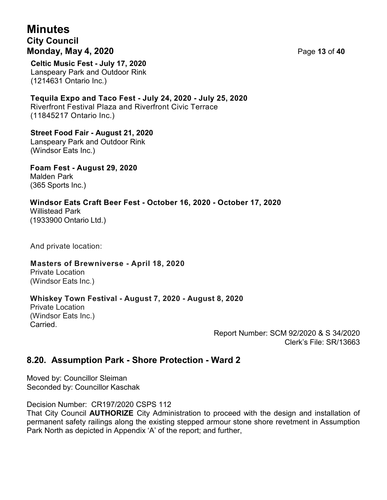# **Minutes City Council Monday, May 4, 2020** Page **13** of **40**

**Celtic Music Fest - July 17, 2020** Lanspeary Park and Outdoor Rink (1214631 Ontario Inc.)

**Tequila Expo and Taco Fest - July 24, 2020 - July 25, 2020** Riverfront Festival Plaza and Riverfront Civic Terrace (11845217 Ontario Inc.)

**Street Food Fair - August 21, 2020** Lanspeary Park and Outdoor Rink (Windsor Eats Inc.)

**Foam Fest - August 29, 2020** Malden Park (365 Sports Inc.)

**Windsor Eats Craft Beer Fest - October 16, 2020 - October 17, 2020** Willistead Park (1933900 Ontario Ltd.)

And private location:

#### **Masters of Brewniverse - April 18, 2020**

Private Location (Windsor Eats Inc.)

#### **Whiskey Town Festival - August 7, 2020 - August 8, 2020**

Private Location (Windsor Eats Inc.) Carried.

> Report Number: SCM 92/2020 & S 34/2020 Clerk's File: SR/13663

#### **8.20. Assumption Park - Shore Protection - Ward 2**

Moved by: Councillor Sleiman Seconded by: Councillor Kaschak

Decision Number: CR197/2020 CSPS 112

That City Council **AUTHORIZE** City Administration to proceed with the design and installation of permanent safety railings along the existing stepped armour stone shore revetment in Assumption Park North as depicted in Appendix 'A' of the report; and further,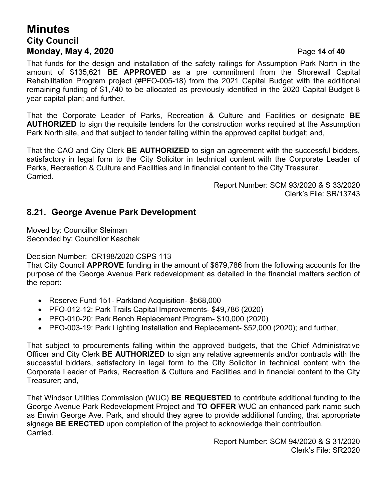## **Minutes City Council Monday, May 4, 2020** Page **14** of **40**

That funds for the design and installation of the safety railings for Assumption Park North in the amount of \$135,621 **BE APPROVED** as a pre commitment from the Shorewall Capital Rehabilitation Program project (#PFO-005-18) from the 2021 Capital Budget with the additional remaining funding of \$1,740 to be allocated as previously identified in the 2020 Capital Budget 8 year capital plan; and further,

That the Corporate Leader of Parks, Recreation & Culture and Facilities or designate **BE AUTHORIZED** to sign the requisite tenders for the construction works required at the Assumption Park North site, and that subject to tender falling within the approved capital budget; and,

That the CAO and City Clerk **BE AUTHORIZED** to sign an agreement with the successful bidders, satisfactory in legal form to the City Solicitor in technical content with the Corporate Leader of Parks, Recreation & Culture and Facilities and in financial content to the City Treasurer. Carried.

> Report Number: SCM 93/2020 & S 33/2020 Clerk's File: SR/13743

#### **8.21. George Avenue Park Development**

Moved by: Councillor Sleiman Seconded by: Councillor Kaschak

Decision Number: CR198/2020 CSPS 113

That City Council **APPROVE** funding in the amount of \$679,786 from the following accounts for the purpose of the George Avenue Park redevelopment as detailed in the financial matters section of the report:

- Reserve Fund 151- Parkland Acquisition- \$568,000
- PFO-012-12: Park Trails Capital Improvements- \$49,786 (2020)
- PFO-010-20: Park Bench Replacement Program- \$10,000 (2020)
- PFO-003-19: Park Lighting Installation and Replacement- \$52,000 (2020); and further,

That subject to procurements falling within the approved budgets, that the Chief Administrative Officer and City Clerk **BE AUTHORIZED** to sign any relative agreements and/or contracts with the successful bidders, satisfactory in legal form to the City Solicitor in technical content with the Corporate Leader of Parks, Recreation & Culture and Facilities and in financial content to the City Treasurer; and,

That Windsor Utilities Commission (WUC) **BE REQUESTED** to contribute additional funding to the George Avenue Park Redevelopment Project and **TO OFFER** WUC an enhanced park name such as Enwin George Ave. Park, and should they agree to provide additional funding, that appropriate signage **BE ERECTED** upon completion of the project to acknowledge their contribution. Carried.

> Report Number: SCM 94/2020 & S 31/2020 Clerk's File: SR2020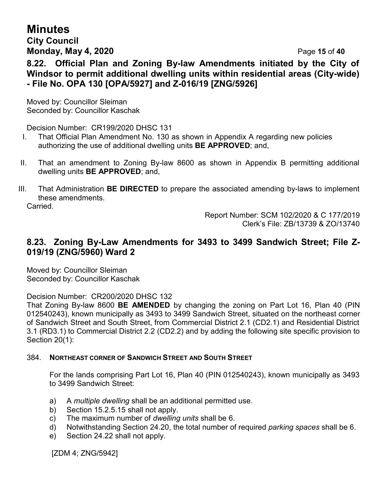# **Minutes**

#### **City Council Monday, May 4, 2020** Page **15** of **40**

**8.22. Official Plan and Zoning By-law Amendments initiated by the City of Windsor to permit additional dwelling units within residential areas (City-wide) - File No. OPA 130 [OPA/5927] and Z-016/19 [ZNG/5926]**

Moved by: Councillor Sleiman Seconded by: Councillor Kaschak

Decision Number: CR199/2020 DHSC 131

- I. That Official Plan Amendment No. 130 as shown in Appendix A regarding new policies authorizing the use of additional dwelling units **BE APPROVED**; and,
- II. That an amendment to Zoning By-law 8600 as shown in Appendix B permitting additional dwelling units **BE APPROVED**; and,
- III. That Administration **BE DIRECTED** to prepare the associated amending by-laws to implement these amendments.

**Carried** 

Report Number: SCM 102/2020 & C 177/2019 Clerk's File: ZB/13739 & ZO/13740

## **8.23. Zoning By-Law Amendments for 3493 to 3499 Sandwich Street; File Z-019/19 (ZNG/5960) Ward 2**

Moved by: Councillor Sleiman Seconded by: Councillor Kaschak

Decision Number: CR200/2020 DHSC 132

That Zoning By-law 8600 **BE AMENDED** by changing the zoning on Part Lot 16, Plan 40 (PIN 012540243), known municipally as 3493 to 3499 Sandwich Street, situated on the northeast corner of Sandwich Street and South Street, from Commercial District 2.1 (CD2.1) and Residential District 3.1 (RD3.1) to Commercial District 2.2 (CD2.2) and by adding the following site specific provision to Section 20(1):

#### 384. **NORTHEAST CORNER OF SANDWICH STREET AND SOUTH STREET**

For the lands comprising Part Lot 16, Plan 40 (PIN 012540243), known municipally as 3493 to 3499 Sandwich Street:

- a) A *multiple dwelling* shall be an additional permitted use.
- b) Section 15.2.5.15 shall not apply.
- c) The maximum number of *dwelling units* shall be 6.
- d) Notwithstanding Section 24.20, the total number of required *parking spaces* shall be 6.
- e) Section 24.22 shall not apply.

[ZDM 4; ZNG/5942]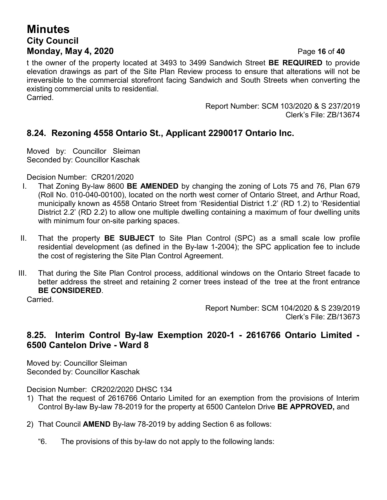# **Minutes City Council Monday, May 4, 2020** Page **16** of **40**

t the owner of the property located at 3493 to 3499 Sandwich Street **BE REQUIRED** to provide elevation drawings as part of the Site Plan Review process to ensure that alterations will not be irreversible to the commercial storefront facing Sandwich and South Streets when converting the existing commercial units to residential.

Carried.

Report Number: SCM 103/2020 & S 237/2019 Clerk's File: ZB/13674

## **8.24. Rezoning 4558 Ontario St., Applicant 2290017 Ontario Inc.**

Moved by: Councillor Sleiman Seconded by: Councillor Kaschak

Decision Number: CR201/2020

- I. That Zoning By-law 8600 **BE AMENDED** by changing the zoning of Lots 75 and 76, Plan 679 (Roll No. 010-040-00100), located on the north west corner of Ontario Street, and Arthur Road, municipally known as 4558 Ontario Street from 'Residential District 1.2' (RD 1.2) to 'Residential District 2.2' (RD 2.2) to allow one multiple dwelling containing a maximum of four dwelling units with minimum four on-site parking spaces.
- II. That the property **BE SUBJECT** to Site Plan Control (SPC) as a small scale low profile residential development (as defined in the By-law 1-2004); the SPC application fee to include the cost of registering the Site Plan Control Agreement.
- III. That during the Site Plan Control process, additional windows on the Ontario Street facade to better address the street and retaining 2 corner trees instead of the tree at the front entrance **BE CONSIDERED**.

Carried.

Report Number: SCM 104/2020 & S 239/2019 Clerk's File: ZB/13673

#### **8.25. Interim Control By-law Exemption 2020-1 - 2616766 Ontario Limited - 6500 Cantelon Drive - Ward 8**

Moved by: Councillor Sleiman Seconded by: Councillor Kaschak

Decision Number: CR202/2020 DHSC 134

- 1) That the request of 2616766 Ontario Limited for an exemption from the provisions of Interim Control By-law By-law 78-2019 for the property at 6500 Cantelon Drive **BE APPROVED,** and
- 2) That Council **AMEND** By-law 78-2019 by adding Section 6 as follows:
	- "6. The provisions of this by-law do not apply to the following lands: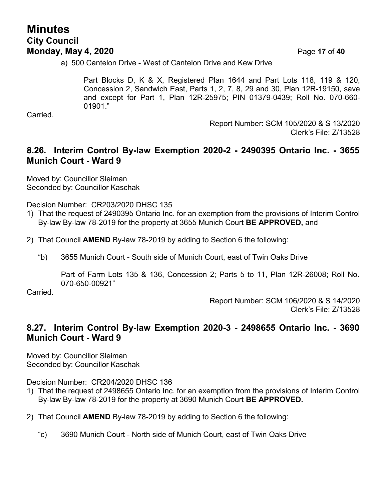## **Minutes City Council Monday, May 4, 2020** Page **17** of **40**

a) 500 Cantelon Drive - West of Cantelon Drive and Kew Drive

Part Blocks D, K & X, Registered Plan 1644 and Part Lots 118, 119 & 120, Concession 2, Sandwich East, Parts 1, 2, 7, 8, 29 and 30, Plan 12R-19150, save and except for Part 1, Plan 12R-25975; PIN 01379-0439; Roll No. 070-660- 01901."

Carried.

Report Number: SCM 105/2020 & S 13/2020 Clerk's File: Z/13528

#### **8.26. Interim Control By-law Exemption 2020-2 - 2490395 Ontario Inc. - 3655 Munich Court - Ward 9**

Moved by: Councillor Sleiman Seconded by: Councillor Kaschak

Decision Number: CR203/2020 DHSC 135

- 1) That the request of 2490395 Ontario Inc. for an exemption from the provisions of Interim Control By-law By-law 78-2019 for the property at 3655 Munich Court **BE APPROVED,** and
- 2) That Council **AMEND** By-law 78-2019 by adding to Section 6 the following:
	- "b) 3655 Munich Court South side of Munich Court, east of Twin Oaks Drive

Part of Farm Lots 135 & 136, Concession 2; Parts 5 to 11, Plan 12R-26008; Roll No. 070-650-00921"

Carried.

Report Number: SCM 106/2020 & S 14/2020 Clerk's File: Z/13528

#### **8.27. Interim Control By-law Exemption 2020-3 - 2498655 Ontario Inc. - 3690 Munich Court - Ward 9**

Moved by: Councillor Sleiman Seconded by: Councillor Kaschak

Decision Number: CR204/2020 DHSC 136

- 1) That the request of 2498655 Ontario Inc. for an exemption from the provisions of Interim Control By-law By-law 78-2019 for the property at 3690 Munich Court **BE APPROVED.**
- 2) That Council **AMEND** By-law 78-2019 by adding to Section 6 the following:
	- "c) 3690 Munich Court North side of Munich Court, east of Twin Oaks Drive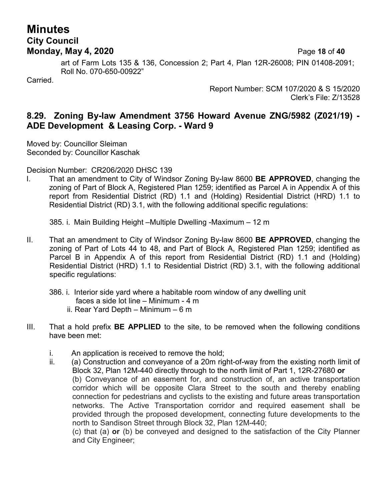## **Minutes City Council Monday, May 4, 2020** Page **18** of **40**

art of Farm Lots 135 & 136, Concession 2; Part 4, Plan 12R-26008; PIN 01408-2091; Roll No. 070-650-00922"

Carried.

Report Number: SCM 107/2020 & S 15/2020 Clerk's File: Z/13528

#### **8.29. Zoning By-law Amendment 3756 Howard Avenue ZNG/5982 (Z021/19) - ADE Development & Leasing Corp. - Ward 9**

Moved by: Councillor Sleiman Seconded by: Councillor Kaschak

Decision Number: CR206/2020 DHSC 139

I. That an amendment to City of Windsor Zoning By-law 8600 **BE APPROVED**, changing the zoning of Part of Block A, Registered Plan 1259; identified as Parcel A in Appendix A of this report from Residential District (RD) 1.1 and (Holding) Residential District (HRD) 1.1 to Residential District (RD) 3.1, with the following additional specific regulations:

385. i. Main Building Height –Multiple Dwelling -Maximum – 12 m

- II. That an amendment to City of Windsor Zoning By-law 8600 **BE APPROVED**, changing the zoning of Part of Lots 44 to 48, and Part of Block A, Registered Plan 1259; identified as Parcel B in Appendix A of this report from Residential District (RD) 1.1 and (Holding) Residential District (HRD) 1.1 to Residential District (RD) 3.1, with the following additional specific regulations:
	- 386. i. Interior side yard where a habitable room window of any dwelling unit
		- faces a side lot line Minimum 4 m
		- ii. Rear Yard Depth Minimum 6 m
- III. That a hold prefix **BE APPLIED** to the site, to be removed when the following conditions have been met:
	- i. An application is received to remove the hold;
	- ii. (a) Construction and conveyance of a 20m right-of-way from the existing north limit of Block 32, Plan 12M-440 directly through to the north limit of Part 1, 12R-27680 **or** (b) Conveyance of an easement for, and construction of, an active transportation corridor which will be opposite Clara Street to the south and thereby enabling connection for pedestrians and cyclists to the existing and future areas transportation networks. The Active Transportation corridor and required easement shall be provided through the proposed development, connecting future developments to the north to Sandison Street through Block 32, Plan 12M-440;

(c) that (a) **or** (b) be conveyed and designed to the satisfaction of the City Planner and City Engineer;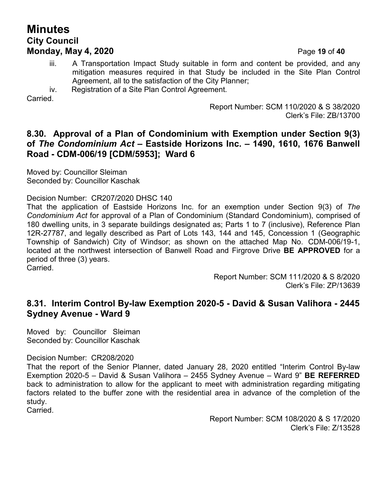## **Minutes City Council Monday, May 4, 2020** Page **19** of **40**

- iii. A Transportation Impact Study suitable in form and content be provided, and any mitigation measures required in that Study be included in the Site Plan Control Agreement, all to the satisfaction of the City Planner;
- iv. Registration of a Site Plan Control Agreement.

**Carried** 

Report Number: SCM 110/2020 & S 38/2020 Clerk's File: ZB/13700

#### **8.30. Approval of a Plan of Condominium with Exemption under Section 9(3) of** *The Condominium Act* **– Eastside Horizons Inc. – 1490, 1610, 1676 Banwell Road - CDM-006/19 [CDM/5953]; Ward 6**

Moved by: Councillor Sleiman Seconded by: Councillor Kaschak

Decision Number: CR207/2020 DHSC 140

That the application of Eastside Horizons Inc. for an exemption under Section 9(3) of *The Condominium Act* for approval of a Plan of Condominium (Standard Condominium), comprised of 180 dwelling units, in 3 separate buildings designated as; Parts 1 to 7 (inclusive), Reference Plan 12R-27787, and legally described as Part of Lots 143, 144 and 145, Concession 1 (Geographic Township of Sandwich) City of Windsor; as shown on the attached Map No. CDM-006/19-1, located at the northwest intersection of Banwell Road and Firgrove Drive **BE APPROVED** for a period of three (3) years.

Carried.

Report Number: SCM 111/2020 & S 8/2020 Clerk's File: ZP/13639

#### **8.31. Interim Control By-law Exemption 2020-5 - David & Susan Valihora - 2445 Sydney Avenue - Ward 9**

Moved by: Councillor Sleiman Seconded by: Councillor Kaschak

Decision Number: CR208/2020

That the report of the Senior Planner, dated January 28, 2020 entitled "Interim Control By-law Exemption 2020-5 – David & Susan Valihora – 2455 Sydney Avenue – Ward 9" **BE REFERRED** back to administration to allow for the applicant to meet with administration regarding mitigating factors related to the buffer zone with the residential area in advance of the completion of the study.

Carried.

Report Number: SCM 108/2020 & S 17/2020 Clerk's File: Z/13528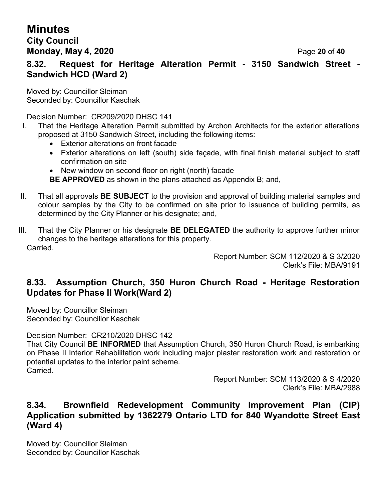# **Minutes**

## **City Council Monday, May 4, 2020** Page **20** of **40**

**8.32. Request for Heritage Alteration Permit - 3150 Sandwich Street - Sandwich HCD (Ward 2)**

Moved by: Councillor Sleiman Seconded by: Councillor Kaschak

Decision Number: CR209/2020 DHSC 141

- I. That the Heritage Alteration Permit submitted by Archon Architects for the exterior alterations proposed at 3150 Sandwich Street, including the following items:
	- Exterior alterations on front facade
	- Exterior alterations on left (south) side façade, with final finish material subject to staff confirmation on site
	- New window on second floor on right (north) facade

**BE APPROVED** as shown in the plans attached as Appendix B; and,

- II. That all approvals **BE SUBJECT** to the provision and approval of building material samples and colour samples by the City to be confirmed on site prior to issuance of building permits, as determined by the City Planner or his designate; and,
- III. That the City Planner or his designate **BE DELEGATED** the authority to approve further minor changes to the heritage alterations for this property. Carried.

Report Number: SCM 112/2020 & S 3/2020 Clerk's File: MBA/9191

## **8.33. Assumption Church, 350 Huron Church Road - Heritage Restoration Updates for Phase II Work(Ward 2)**

Moved by: Councillor Sleiman Seconded by: Councillor Kaschak

Decision Number: CR210/2020 DHSC 142

That City Council **BE INFORMED** that Assumption Church, 350 Huron Church Road, is embarking on Phase II Interior Rehabilitation work including major plaster restoration work and restoration or potential updates to the interior paint scheme. Carried.

> Report Number: SCM 113/2020 & S 4/2020 Clerk's File: MBA/2988

## **8.34. Brownfield Redevelopment Community Improvement Plan (CIP) Application submitted by 1362279 Ontario LTD for 840 Wyandotte Street East (Ward 4)**

Moved by: Councillor Sleiman Seconded by: Councillor Kaschak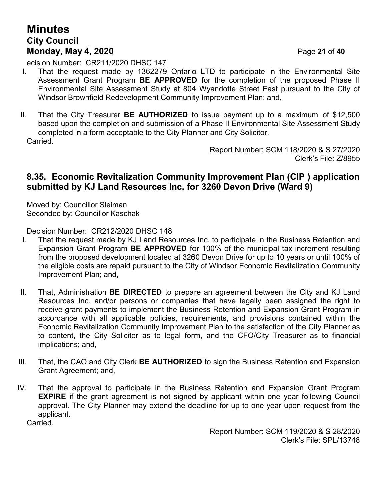## **Minutes City Council Monday, May 4, 2020** Page **21** of **40**

ecision Number: CR211/2020 DHSC 147

- I. That the request made by 1362279 Ontario LTD to participate in the Environmental Site Assessment Grant Program **BE APPROVED** for the completion of the proposed Phase II Environmental Site Assessment Study at 804 Wyandotte Street East pursuant to the City of Windsor Brownfield Redevelopment Community Improvement Plan; and,
- II. That the City Treasurer **BE AUTHORIZED** to issue payment up to a maximum of \$12,500 based upon the completion and submission of a Phase II Environmental Site Assessment Study completed in a form acceptable to the City Planner and City Solicitor. Carried.

Report Number: SCM 118/2020 & S 27/2020 Clerk's File: Z/8955

#### **8.35. Economic Revitalization Community Improvement Plan (CIP ) application submitted by KJ Land Resources Inc. for 3260 Devon Drive (Ward 9)**

Moved by: Councillor Sleiman Seconded by: Councillor Kaschak

Decision Number: CR212/2020 DHSC 148

- I. That the request made by KJ Land Resources Inc. to participate in the Business Retention and Expansion Grant Program **BE APPROVED** for 100% of the municipal tax increment resulting from the proposed development located at 3260 Devon Drive for up to 10 years or until 100% of the eligible costs are repaid pursuant to the City of Windsor Economic Revitalization Community Improvement Plan; and,
- II. That, Administration **BE DIRECTED** to prepare an agreement between the City and KJ Land Resources Inc. and/or persons or companies that have legally been assigned the right to receive grant payments to implement the Business Retention and Expansion Grant Program in accordance with all applicable policies, requirements, and provisions contained within the Economic Revitalization Community Improvement Plan to the satisfaction of the City Planner as to content, the City Solicitor as to legal form, and the CFO/City Treasurer as to financial implications; and,
- III. That, the CAO and City Clerk **BE AUTHORIZED** to sign the Business Retention and Expansion Grant Agreement; and,
- IV. That the approval to participate in the Business Retention and Expansion Grant Program **EXPIRE** if the grant agreement is not signed by applicant within one year following Council approval. The City Planner may extend the deadline for up to one year upon request from the applicant.

Carried.

Report Number: SCM 119/2020 & S 28/2020 Clerk's File: SPL/13748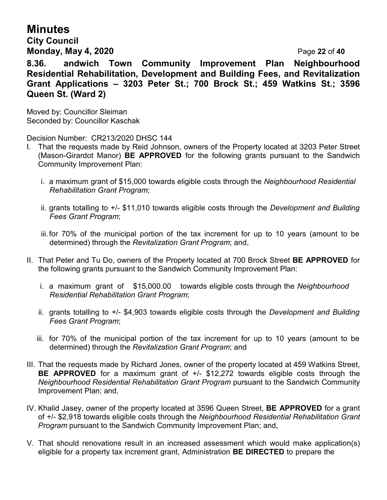# **Minutes**

**City Council Monday, May 4, 2020** Page **22** of **40**

**8.36. andwich Town Community Improvement Plan Neighbourhood Residential Rehabilitation, Development and Building Fees, and Revitalization Grant Applications – 3203 Peter St.; 700 Brock St.; 459 Watkins St.; 3596 Queen St. (Ward 2)**

Moved by: Councillor Sleiman Seconded by: Councillor Kaschak

Decision Number: CR213/2020 DHSC 144

- I. That the requests made by Reid Johnson, owners of the Property located at 3203 Peter Street (Mason-Girardot Manor) **BE APPROVED** for the following grants pursuant to the Sandwich Community Improvement Plan:
	- i. a maximum grant of \$15,000 towards eligible costs through the *Neighbourhood Residential Rehabilitation Grant Program*;
	- ii. grants totalling to +/- \$11,010 towards eligible costs through the *Development and Building Fees Grant Program*;
	- iii.for 70% of the municipal portion of the tax increment for up to 10 years (amount to be determined) through the *Revitalization Grant Program*; and,
- II. That Peter and Tu Do, owners of the Property located at 700 Brock Street **BE APPROVED** for the following grants pursuant to the Sandwich Community Improvement Plan:
	- i. a maximum grant of \$15,000.00 towards eligible costs through the *Neighbourhood Residential Rehabilitation Grant Program*;
	- ii. grants totalling to +/- \$4,903 towards eligible costs through the *Development and Building Fees Grant Program*;
	- iii. for 70% of the municipal portion of the tax increment for up to 10 years (amount to be determined) through the *Revitalization Grant Program*; and
- III. That the requests made by Richard Jones, owner of the property located at 459 Watkins Street, **BE APPROVED** for a maximum grant of +/- \$12,272 towards eligible costs through the *Neighbourhood Residential Rehabilitation Grant Program* pursuant to the Sandwich Community Improvement Plan; and,
- IV. Khalid Jasey, owner of the property located at 3596 Queen Street, **BE APPROVED** for a grant of +/- \$2,918 towards eligible costs through the *Neighbourhood Residential Rehabilitation Grant Program* pursuant to the Sandwich Community Improvement Plan; and,
- V. That should renovations result in an increased assessment which would make application(s) eligible for a property tax increment grant, Administration **BE DIRECTED** to prepare the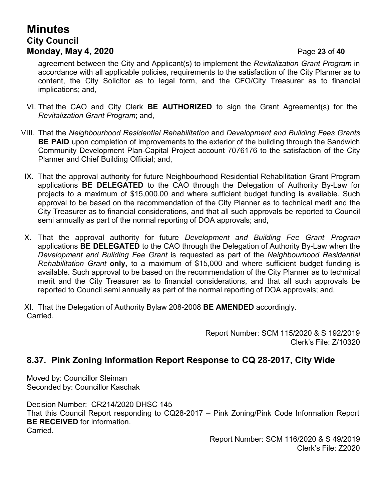# **Minutes City Council Monday, May 4, 2020** Page **23** of **40**

agreement between the City and Applicant(s) to implement the *Revitalization Grant Program* in accordance with all applicable policies, requirements to the satisfaction of the City Planner as to content, the City Solicitor as to legal form, and the CFO/City Treasurer as to financial implications; and,

- VI. That the CAO and City Clerk **BE AUTHORIZED** to sign the Grant Agreement(s) for the *Revitalization Grant Program*; and,
- VIII. That the *Neighbourhood Residential Rehabilitation* and *Development and Building Fees Grants* **BE PAID** upon completion of improvements to the exterior of the building through the Sandwich Community Development Plan-Capital Project account 7076176 to the satisfaction of the City Planner and Chief Building Official; and,
- IX. That the approval authority for future Neighbourhood Residential Rehabilitation Grant Program applications **BE DELEGATED** to the CAO through the Delegation of Authority By-Law for projects to a maximum of \$15,000.00 and where sufficient budget funding is available. Such approval to be based on the recommendation of the City Planner as to technical merit and the City Treasurer as to financial considerations, and that all such approvals be reported to Council semi annually as part of the normal reporting of DOA approvals; and,
- X. That the approval authority for future *Development and Building Fee Grant Program* applications **BE DELEGATED** to the CAO through the Delegation of Authority By-Law when the *Development and Building Fee Grant* is requested as part of the *Neighbourhood Residential Rehabilitation Grant* **only,** to a maximum of \$15,000 and where sufficient budget funding is available. Such approval to be based on the recommendation of the City Planner as to technical merit and the City Treasurer as to financial considerations, and that all such approvals be reported to Council semi annually as part of the normal reporting of DOA approvals; and,

XI. That the Delegation of Authority Bylaw 208-2008 **BE AMENDED** accordingly. Carried.

> Report Number: SCM 115/2020 & S 192/2019 Clerk's File: Z/10320

#### **8.37. Pink Zoning Information Report Response to CQ 28-2017, City Wide**

Moved by: Councillor Sleiman Seconded by: Councillor Kaschak

Decision Number: CR214/2020 DHSC 145 That this Council Report responding to CQ28-2017 – Pink Zoning/Pink Code Information Report **BE RECEIVED** for information. Carried.

> Report Number: SCM 116/2020 & S 49/2019 Clerk's File: Z2020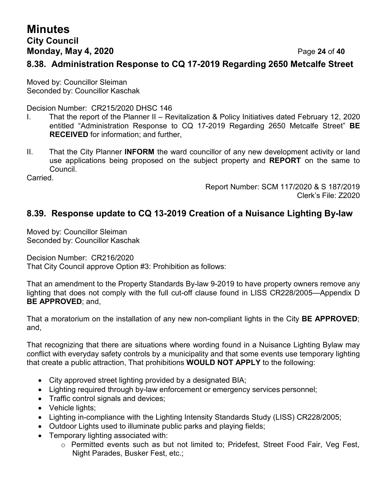# **Minutes City Council Monday, May 4, 2020** Page **24** of **40**

#### **8.38. Administration Response to CQ 17-2019 Regarding 2650 Metcalfe Street**

Moved by: Councillor Sleiman Seconded by: Councillor Kaschak

Decision Number: CR215/2020 DHSC 146

- I. That the report of the Planner II Revitalization & Policy Initiatives dated February 12, 2020 entitled "Administration Response to CQ 17-2019 Regarding 2650 Metcalfe Street" **BE RECEIVED** for information; and further,
- II. That the City Planner **INFORM** the ward councillor of any new development activity or land use applications being proposed on the subject property and **REPORT** on the same to Council.

Carried.

Report Number: SCM 117/2020 & S 187/2019 Clerk's File: Z2020

## **8.39. Response update to CQ 13-2019 Creation of a Nuisance Lighting By-law**

Moved by: Councillor Sleiman Seconded by: Councillor Kaschak

Decision Number: CR216/2020 That City Council approve Option #3: Prohibition as follows:

That an amendment to the Property Standards By-law 9-2019 to have property owners remove any lighting that does not comply with the full cut-off clause found in LISS CR228/2005—Appendix D **BE APPROVED**; and,

That a moratorium on the installation of any new non-compliant lights in the City **BE APPROVED**; and,

That recognizing that there are situations where wording found in a Nuisance Lighting Bylaw may conflict with everyday safety controls by a municipality and that some events use temporary lighting that create a public attraction, That prohibitions **WOULD NOT APPLY** to the following:

- City approved street lighting provided by a designated BIA;
- Lighting required through by-law enforcement or emergency services personnel;
- Traffic control signals and devices;
- Vehicle lights:
- Lighting in-compliance with the Lighting Intensity Standards Study (LISS) CR228/2005;
- Outdoor Lights used to illuminate public parks and playing fields;
- Temporary lighting associated with:
	- $\circ$  Permitted events such as but not limited to; Pridefest, Street Food Fair, Veg Fest, Night Parades, Busker Fest, etc.;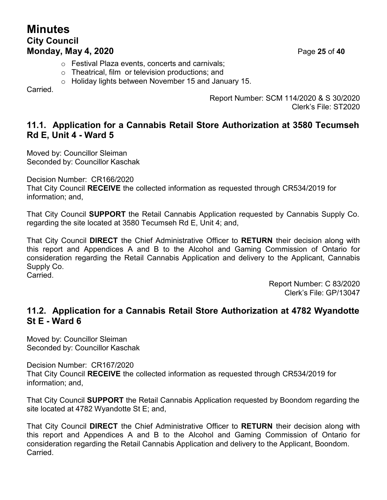## **Minutes City Council Monday, May 4, 2020** Page **25** of **40**

- o Festival Plaza events, concerts and carnivals;
- o Theatrical, film or television productions; and
- o Holiday lights between November 15 and January 15.

Carried.

Report Number: SCM 114/2020 & S 30/2020 Clerk's File: ST2020

#### **11.1. Application for a Cannabis Retail Store Authorization at 3580 Tecumseh Rd E, Unit 4 - Ward 5**

Moved by: Councillor Sleiman Seconded by: Councillor Kaschak

Decision Number: CR166/2020

That City Council **RECEIVE** the collected information as requested through CR534/2019 for information; and,

That City Council **SUPPORT** the Retail Cannabis Application requested by Cannabis Supply Co. regarding the site located at 3580 Tecumseh Rd E, Unit 4; and,

That City Council **DIRECT** the Chief Administrative Officer to **RETURN** their decision along with this report and Appendices A and B to the Alcohol and Gaming Commission of Ontario for consideration regarding the Retail Cannabis Application and delivery to the Applicant, Cannabis Supply Co.

Carried.

Report Number: C 83/2020 Clerk's File: GP/13047

## **11.2. Application for a Cannabis Retail Store Authorization at 4782 Wyandotte St E - Ward 6**

Moved by: Councillor Sleiman Seconded by: Councillor Kaschak

Decision Number: CR167/2020 That City Council **RECEIVE** the collected information as requested through CR534/2019 for information; and,

That City Council **SUPPORT** the Retail Cannabis Application requested by Boondom regarding the site located at 4782 Wyandotte St E; and,

That City Council **DIRECT** the Chief Administrative Officer to **RETURN** their decision along with this report and Appendices A and B to the Alcohol and Gaming Commission of Ontario for consideration regarding the Retail Cannabis Application and delivery to the Applicant, Boondom. Carried.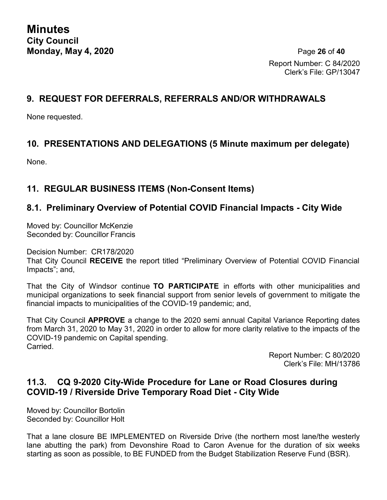Report Number: C 84/2020 Clerk's File: GP/13047

### **9. REQUEST FOR DEFERRALS, REFERRALS AND/OR WITHDRAWALS**

None requested.

#### **10. PRESENTATIONS AND DELEGATIONS (5 Minute maximum per delegate)**

None.

#### **11. REGULAR BUSINESS ITEMS (Non-Consent Items)**

#### **8.1. Preliminary Overview of Potential COVID Financial Impacts - City Wide**

Moved by: Councillor McKenzie Seconded by: Councillor Francis

Decision Number: CR178/2020

That City Council **RECEIVE** the report titled "Preliminary Overview of Potential COVID Financial Impacts"; and,

That the City of Windsor continue **TO PARTICIPATE** in efforts with other municipalities and municipal organizations to seek financial support from senior levels of government to mitigate the financial impacts to municipalities of the COVID-19 pandemic; and,

That City Council **APPROVE** a change to the 2020 semi annual Capital Variance Reporting dates from March 31, 2020 to May 31, 2020 in order to allow for more clarity relative to the impacts of the COVID-19 pandemic on Capital spending. Carried.

> Report Number: C 80/2020 Clerk's File: MH/13786

## **11.3. CQ 9-2020 City-Wide Procedure for Lane or Road Closures during COVID-19 / Riverside Drive Temporary Road Diet - City Wide**

Moved by: Councillor Bortolin Seconded by: Councillor Holt

That a lane closure BE IMPLEMENTED on Riverside Drive (the northern most lane/the westerly lane abutting the park) from Devonshire Road to Caron Avenue for the duration of six weeks starting as soon as possible, to BE FUNDED from the Budget Stabilization Reserve Fund (BSR).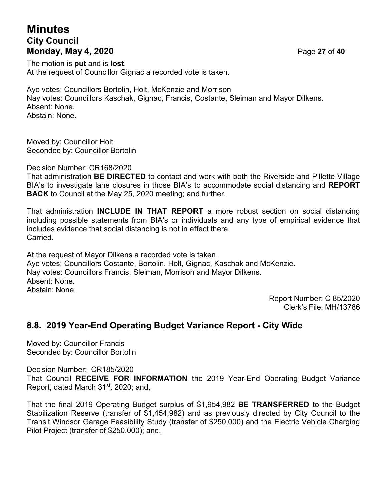# **Minutes City Council Monday, May 4, 2020** Page **27** of **40**

The motion is **put** and is **lost**. At the request of Councillor Gignac a recorded vote is taken.

Aye votes: Councillors Bortolin, Holt, McKenzie and Morrison Nay votes: Councillors Kaschak, Gignac, Francis, Costante, Sleiman and Mayor Dilkens. Absent: None. Abstain: None.

Moved by: Councillor Holt Seconded by: Councillor Bortolin

Decision Number: CR168/2020

That administration **BE DIRECTED** to contact and work with both the Riverside and Pillette Village BIA's to investigate lane closures in those BIA's to accommodate social distancing and **REPORT BACK** to Council at the May 25, 2020 meeting; and further,

That administration **INCLUDE IN THAT REPORT** a more robust section on social distancing including possible statements from BIA's or individuals and any type of empirical evidence that includes evidence that social distancing is not in effect there. **Carried** 

At the request of Mayor Dilkens a recorded vote is taken. Aye votes: Councillors Costante, Bortolin, Holt, Gignac, Kaschak and McKenzie. Nay votes: Councillors Francis, Sleiman, Morrison and Mayor Dilkens. Absent: None. Abstain: None.

> Report Number: C 85/2020 Clerk's File: MH/13786

#### **8.8. 2019 Year-End Operating Budget Variance Report - City Wide**

Moved by: Councillor Francis Seconded by: Councillor Bortolin

Decision Number: CR185/2020

That Council **RECEIVE FOR INFORMATION** the 2019 Year-End Operating Budget Variance Report, dated March  $31<sup>st</sup>$ , 2020; and,

That the final 2019 Operating Budget surplus of \$1,954,982 **BE TRANSFERRED** to the Budget Stabilization Reserve (transfer of \$1,454,982) and as previously directed by City Council to the Transit Windsor Garage Feasibility Study (transfer of \$250,000) and the Electric Vehicle Charging Pilot Project (transfer of \$250,000); and,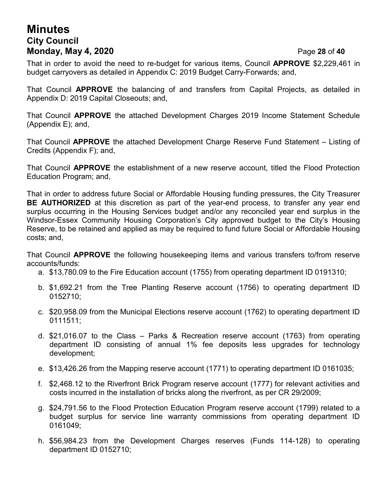## **Minutes City Council Monday, May 4, 2020** Page **28** of **40**

That in order to avoid the need to re-budget for various items, Council **APPROVE** \$2,229,461 in budget carryovers as detailed in Appendix C: 2019 Budget Carry-Forwards; and,

That Council **APPROVE** the balancing of and transfers from Capital Projects, as detailed in Appendix D: 2019 Capital Closeouts; and,

That Council **APPROVE** the attached Development Charges 2019 Income Statement Schedule (Appendix E); and,

That Council **APPROVE** the attached Development Charge Reserve Fund Statement – Listing of Credits (Appendix F); and,

That Council **APPROVE** the establishment of a new reserve account, titled the Flood Protection Education Program; and,

That in order to address future Social or Affordable Housing funding pressures, the City Treasurer **BE AUTHORIZED** at this discretion as part of the year-end process, to transfer any year end surplus occurring in the Housing Services budget and/or any reconciled year end surplus in the Windsor-Essex Community Housing Corporation's City approved budget to the City's Housing Reserve, to be retained and applied as may be required to fund future Social or Affordable Housing costs; and,

That Council **APPROVE** the following housekeeping items and various transfers to/from reserve accounts/funds:

- a. \$13,780.09 to the Fire Education account (1755) from operating department ID 0191310;
- b. \$1,692.21 from the Tree Planting Reserve account (1756) to operating department ID 0152710;
- c. \$20,958.09 from the Municipal Elections reserve account (1762) to operating department ID 0111511;
- d. \$21,016.07 to the Class Parks & Recreation reserve account (1763) from operating department ID consisting of annual 1% fee deposits less upgrades for technology development;
- e. \$13,426.26 from the Mapping reserve account (1771) to operating department ID 0161035;
- f. \$2,468.12 to the Riverfront Brick Program reserve account (1777) for relevant activities and costs incurred in the installation of bricks along the riverfront, as per CR 29/2009;
- g. \$24,791.56 to the Flood Protection Education Program reserve account (1799) related to a budget surplus for service line warranty commissions from operating department ID 0161049;
- h. \$56,984.23 from the Development Charges reserves (Funds 114-128) to operating department ID 0152710;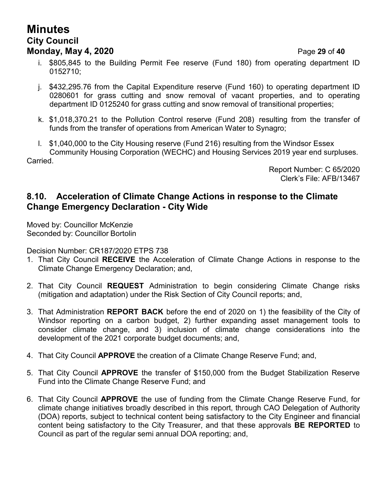# **Minutes City Council Monday, May 4, 2020** Page **29** of **40**

- i. \$805,845 to the Building Permit Fee reserve (Fund 180) from operating department ID 0152710;
- j. \$432,295.76 from the Capital Expenditure reserve (Fund 160) to operating department ID 0280601 for grass cutting and snow removal of vacant properties, and to operating department ID 0125240 for grass cutting and snow removal of transitional properties;
- k. \$1,018,370.21 to the Pollution Control reserve (Fund 208) resulting from the transfer of funds from the transfer of operations from American Water to Synagro;
- l. \$1,040,000 to the City Housing reserve (Fund 216) resulting from the Windsor Essex Community Housing Corporation (WECHC) and Housing Services 2019 year end surpluses. Carried.

Report Number: C 65/2020 Clerk's File: AFB/13467

#### **8.10. Acceleration of Climate Change Actions in response to the Climate Change Emergency Declaration - City Wide**

Moved by: Councillor McKenzie Seconded by: Councillor Bortolin

Decision Number: CR187/2020 ETPS 738

- 1. That City Council **RECEIVE** the Acceleration of Climate Change Actions in response to the Climate Change Emergency Declaration; and,
- 2. That City Council **REQUEST** Administration to begin considering Climate Change risks (mitigation and adaptation) under the Risk Section of City Council reports; and,
- 3. That Administration **REPORT BACK** before the end of 2020 on 1) the feasibility of the City of Windsor reporting on a carbon budget, 2) further expanding asset management tools to consider climate change, and 3) inclusion of climate change considerations into the development of the 2021 corporate budget documents; and,
- 4. That City Council **APPROVE** the creation of a Climate Change Reserve Fund; and,
- 5. That City Council **APPROVE** the transfer of \$150,000 from the Budget Stabilization Reserve Fund into the Climate Change Reserve Fund; and
- 6. That City Council **APPROVE** the use of funding from the Climate Change Reserve Fund, for climate change initiatives broadly described in this report, through CAO Delegation of Authority (DOA) reports, subject to technical content being satisfactory to the City Engineer and financial content being satisfactory to the City Treasurer, and that these approvals **BE REPORTED** to Council as part of the regular semi annual DOA reporting; and,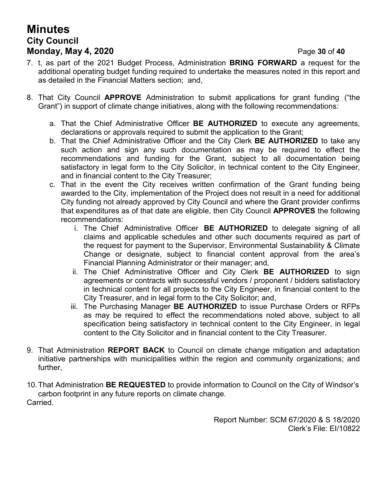# **Minutes City Council Monday, May 4, 2020** Page **30** of **40**

- 7. t, as part of the 2021 Budget Process, Administration **BRING FORWARD** a request for the additional operating budget funding required to undertake the measures noted in this report and as detailed in the Financial Matters section; and,
- 8. That City Council **APPROVE** Administration to submit applications for grant funding ("the Grant") in support of climate change initiatives, along with the following recommendations:
	- a. That the Chief Administrative Officer **BE AUTHORIZED** to execute any agreements, declarations or approvals required to submit the application to the Grant;
	- b. That the Chief Administrative Officer and the City Clerk **BE AUTHORIZED** to take any such action and sign any such documentation as may be required to effect the recommendations and funding for the Grant, subject to all documentation being satisfactory in legal form to the City Solicitor, in technical content to the City Engineer, and in financial content to the City Treasurer;
	- c. That in the event the City receives written confirmation of the Grant funding being awarded to the City, implementation of the Project does not result in a need for additional City funding not already approved by City Council and where the Grant provider confirms that expenditures as of that date are eligible, then City Council **APPROVES** the following recommendations:
		- i. The Chief Administrative Officer **BE AUTHORIZED** to delegate signing of all claims and applicable schedules and other such documents required as part of the request for payment to the Supervisor, Environmental Sustainability & Climate Change or designate, subject to financial content approval from the area's Financial Planning Administrator or their manager; and,
		- ii. The Chief Administrative Officer and City Clerk **BE AUTHORIZED** to sign agreements or contracts with successful vendors / proponent / bidders satisfactory in technical content for all projects to the City Engineer, in financial content to the City Treasurer, and in legal form to the City Solicitor; and,
		- iii. The Purchasing Manager **BE AUTHORIZED** to issue Purchase Orders or RFPs as may be required to effect the recommendations noted above, subject to all specification being satisfactory in technical content to the City Engineer, in legal content to the City Solicitor and in financial content to the City Treasurer.
- 9. That Administration **REPORT BACK** to Council on climate change mitigation and adaptation initiative partnerships with municipalities within the region and community organizations; and further,
- 10.That Administration **BE REQUESTED** to provide information to Council on the City of Windsor's carbon footprint in any future reports on climate change. Carried.

Report Number: SCM 67/2020 & S 18/2020 Clerk's File: EI/10822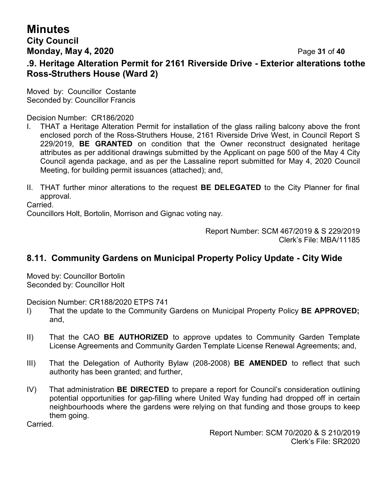# **Minutes**

#### **City Council Monday, May 4, 2020** Page **31** of **40**

#### **.9. Heritage Alteration Permit for 2161 Riverside Drive - Exterior alterations tothe Ross-Struthers House (Ward 2)**

Moved by: Councillor Costante Seconded by: Councillor Francis

Decision Number: CR186/2020

- I. THAT a Heritage Alteration Permit for installation of the glass railing balcony above the front enclosed porch of the Ross-Struthers House, 2161 Riverside Drive West, in Council Report S 229/2019, **BE GRANTED** on condition that the Owner reconstruct designated heritage attributes as per additional drawings submitted by the Applicant on page 500 of the May 4 City Council agenda package, and as per the Lassaline report submitted for May 4, 2020 Council Meeting, for building permit issuances (attached); and,
- II. THAT further minor alterations to the request **BE DELEGATED** to the City Planner for final approval.

Carried.

Councillors Holt, Bortolin, Morrison and Gignac voting nay.

Report Number: SCM 467/2019 & S 229/2019 Clerk's File: MBA/11185

### **8.11. Community Gardens on Municipal Property Policy Update - City Wide**

Moved by: Councillor Bortolin Seconded by: Councillor Holt

Decision Number: CR188/2020 ETPS 741

- I) That the update to the Community Gardens on Municipal Property Policy **BE APPROVED;** and,
- II) That the CAO **BE AUTHORIZED** to approve updates to Community Garden Template License Agreements and Community Garden Template License Renewal Agreements; and,
- III) That the Delegation of Authority Bylaw (208-2008) **BE AMENDED** to reflect that such authority has been granted; and further,
- IV) That administration **BE DIRECTED** to prepare a report for Council's consideration outlining potential opportunities for gap-filling where United Way funding had dropped off in certain neighbourhoods where the gardens were relying on that funding and those groups to keep them going.

Carried.

Report Number: SCM 70/2020 & S 210/2019 Clerk's File: SR2020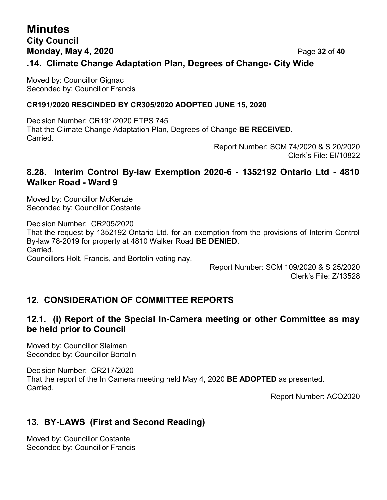## **Minutes City Council Monday, May 4, 2020** Page **32** of **40 .14. Climate Change Adaptation Plan, Degrees of Change- City Wide**

Moved by: Councillor Gignac Seconded by: Councillor Francis

#### **CR191/2020 RESCINDED BY CR305/2020 ADOPTED JUNE 15, 2020**

Decision Number: CR191/2020 ETPS 745 That the Climate Change Adaptation Plan, Degrees of Change **BE RECEIVED**. Carried.

Report Number: SCM 74/2020 & S 20/2020 Clerk's File: EI/10822

### **8.28. Interim Control By-law Exemption 2020-6 - 1352192 Ontario Ltd - 4810 Walker Road - Ward 9**

Moved by: Councillor McKenzie Seconded by: Councillor Costante

Decision Number: CR205/2020 That the request by 1352192 Ontario Ltd. for an exemption from the provisions of Interim Control By-law 78-2019 for property at 4810 Walker Road **BE DENIED**. Carried. Councillors Holt, Francis, and Bortolin voting nay.

> Report Number: SCM 109/2020 & S 25/2020 Clerk's File: Z/13528

## **12. CONSIDERATION OF COMMITTEE REPORTS**

## **12.1. (i) Report of the Special In-Camera meeting or other Committee as may be held prior to Council**

Moved by: Councillor Sleiman Seconded by: Councillor Bortolin

Decision Number: CR217/2020 That the report of the In Camera meeting held May 4, 2020 **BE ADOPTED** as presented. Carried.

Report Number: ACO2020

## **13. BY-LAWS (First and Second Reading)**

Moved by: Councillor Costante Seconded by: Councillor Francis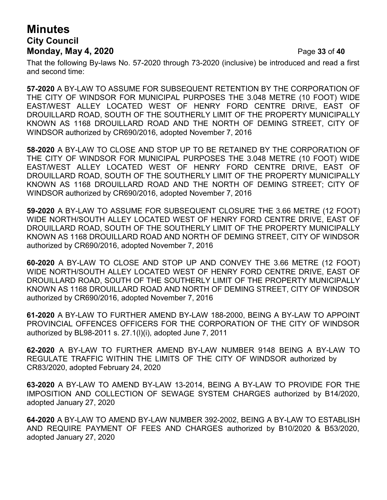# **Minutes City Council Monday, May 4, 2020** Page **33** of **40**

That the following By-laws No. 57-2020 through 73-2020 (inclusive) be introduced and read a first and second time:

**57-2020** A BY-LAW TO ASSUME FOR SUBSEQUENT RETENTION BY THE CORPORATION OF THE CITY OF WINDSOR FOR MUNICIPAL PURPOSES THE 3.048 METRE (10 FOOT) WIDE EAST/WEST ALLEY LOCATED WEST OF HENRY FORD CENTRE DRIVE, EAST OF DROUILLARD ROAD, SOUTH OF THE SOUTHERLY LIMIT OF THE PROPERTY MUNICIPALLY KNOWN AS 1168 DROUILLARD ROAD AND THE NORTH OF DEMING STREET, CITY OF WINDSOR authorized by CR690/2016, adopted November 7, 2016

**58-2020** A BY-LAW TO CLOSE AND STOP UP TO BE RETAINED BY THE CORPORATION OF THE CITY OF WINDSOR FOR MUNICIPAL PURPOSES THE 3.048 METRE (10 FOOT) WIDE EAST/WEST ALLEY LOCATED WEST OF HENRY FORD CENTRE DRIVE, EAST OF DROUILLARD ROAD, SOUTH OF THE SOUTHERLY LIMIT OF THE PROPERTY MUNICIPALLY KNOWN AS 1168 DROUILLARD ROAD AND THE NORTH OF DEMING STREET; CITY OF WINDSOR authorized by CR690/2016, adopted November 7, 2016

**59-2020** A BY-LAW TO ASSUME FOR SUBSEQUENT CLOSURE THE 3.66 METRE (12 FOOT) WIDE NORTH/SOUTH ALLEY LOCATED WEST OF HENRY FORD CENTRE DRIVE, EAST OF DROUILLARD ROAD, SOUTH OF THE SOUTHERLY LIMIT OF THE PROPERTY MUNICIPALLY KNOWN AS 1168 DROUILLARD ROAD AND NORTH OF DEMING STREET, CITY OF WINDSOR authorized by CR690/2016, adopted November 7, 2016

**60-2020** A BY-LAW TO CLOSE AND STOP UP AND CONVEY THE 3.66 METRE (12 FOOT) WIDE NORTH/SOUTH ALLEY LOCATED WEST OF HENRY FORD CENTRE DRIVE, EAST OF DROUILLARD ROAD, SOUTH OF THE SOUTHERLY LIMIT OF THE PROPERTY MUNICIPALLY KNOWN AS 1168 DROUILLARD ROAD AND NORTH OF DEMING STREET, CITY OF WINDSOR authorized by CR690/2016, adopted November 7, 2016

**61-2020** A BY-LAW TO FURTHER AMEND BY-LAW 188-2000, BEING A BY-LAW TO APPOINT PROVINCIAL OFFENCES OFFICERS FOR THE CORPORATION OF THE CITY OF WINDSOR authorized by BL98-2011 s. 27.1(l)(i), adopted June 7, 2011

**62-2020** A BY-LAW TO FURTHER AMEND BY-LAW NUMBER 9148 BEING A BY-LAW TO REGULATE TRAFFIC WITHIN THE LIMITS OF THE CITY OF WINDSOR authorized by CR83/2020, adopted February 24, 2020

**63-2020** A BY-LAW TO AMEND BY-LAW 13-2014, BEING A BY-LAW TO PROVIDE FOR THE IMPOSITION AND COLLECTION OF SEWAGE SYSTEM CHARGES authorized by B14/2020, adopted January 27, 2020

**64-2020** A BY-LAW TO AMEND BY-LAW NUMBER 392-2002, BEING A BY-LAW TO ESTABLISH AND REQUIRE PAYMENT OF FEES AND CHARGES authorized by B10/2020 & B53/2020, adopted January 27, 2020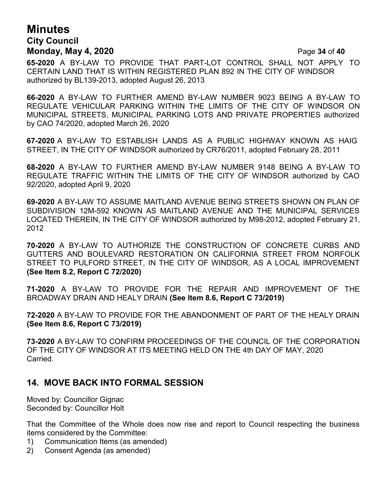## **Minutes City Council Monday, May 4, 2020** Page **34** of **40**

**65-2020** A BY-LAW TO PROVIDE THAT PART-LOT CONTROL SHALL NOT APPLY TO CERTAIN LAND THAT IS WITHIN REGISTERED PLAN 892 IN THE CITY OF WINDSOR authorized by BL139-2013, adopted August 26, 2013

**66-2020** A BY-LAW TO FURTHER AMEND BY-LAW NUMBER 9023 BEING A BY-LAW TO REGULATE VEHICULAR PARKING WITHIN THE LIMITS OF THE CITY OF WINDSOR ON MUNICIPAL STREETS, MUNICIPAL PARKING LOTS AND PRIVATE PROPERTIES authorized by CAO 74/2020, adopted March 26, 2020

**67-2020** A BY-LAW TO ESTABLISH LANDS AS A PUBLIC HIGHWAY KNOWN AS HAIG STREET, IN THE CITY OF WINDSOR authorized by CR76/2011, adopted February 28, 2011

**68-2020** A BY-LAW TO FURTHER AMEND BY-LAW NUMBER 9148 BEING A BY-LAW TO REGULATE TRAFFIC WITHIN THE LIMITS OF THE CITY OF WINDSOR authorized by CAO 92/2020, adopted April 9, 2020

**69-2020** A BY-LAW TO ASSUME MAITLAND AVENUE BEING STREETS SHOWN ON PLAN OF SUBDIVISION 12M-592 KNOWN AS MAITLAND AVENUE AND THE MUNICIPAL SERVICES LOCATED THEREIN, IN THE CITY OF WINDSOR authorized by M98-2012, adopted February 21, 2012

**70-2020** A BY-LAW TO AUTHORIZE THE CONSTRUCTION OF CONCRETE CURBS AND GUTTERS AND BOULEVARD RESTORATION ON CALIFORNIA STREET FROM NORFOLK STREET TO PULFORD STREET, IN THE CITY OF WINDSOR, AS A LOCAL IMPROVEMENT **(See Item 8.2, Report C 72/2020)**

**71-2020** A BY-LAW TO PROVIDE FOR THE REPAIR AND IMPROVEMENT OF THE BROADWAY DRAIN AND HEALY DRAIN **(See Item 8.6, Report C 73/2019)**

**72-2020** A BY-LAW TO PROVIDE FOR THE ABANDONMENT OF PART OF THE HEALY DRAIN **(See Item 8.6, Report C 73/2019)**

**73-2020** A BY-LAW TO CONFIRM PROCEEDINGS OF THE COUNCIL OF THE CORPORATION OF THE CITY OF WINDSOR AT ITS MEETING HELD ON THE 4th DAY OF MAY, 2020 **Carried** 

#### **14. MOVE BACK INTO FORMAL SESSION**

Moved by: Councillor Gignac Seconded by: Councillor Holt

That the Committee of the Whole does now rise and report to Council respecting the business items considered by the Committee:

- 1) Communication Items (as amended)
- 2) Consent Agenda (as amended)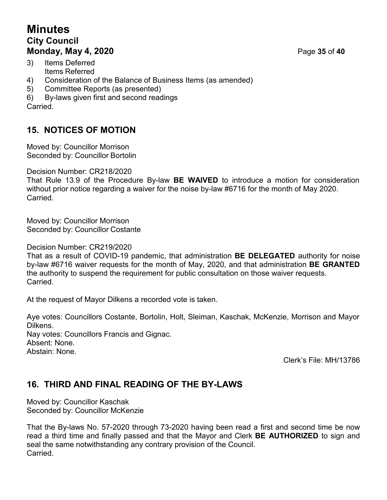# **Minutes City Council Monday, May 4, 2020** Page **35** of **40**

- 3) Items Deferred Items Referred
- 4) Consideration of the Balance of Business Items (as amended)
- 5) Committee Reports (as presented)
- 6) By-laws given first and second readings

**Carried** 

# **15. NOTICES OF MOTION**

Moved by: Councillor Morrison Seconded by: Councillor Bortolin

Decision Number: CR218/2020

That Rule 13.9 of the Procedure By-law **BE WAIVED** to introduce a motion for consideration without prior notice regarding a waiver for the noise by-law #6716 for the month of May 2020. Carried.

Moved by: Councillor Morrison Seconded by: Councillor Costante

Decision Number: CR219/2020

That as a result of COVID-19 pandemic, that administration **BE DELEGATED** authority for noise by-law #6716 waiver requests for the month of May, 2020, and that administration **BE GRANTED** the authority to suspend the requirement for public consultation on those waiver requests. Carried.

At the request of Mayor Dilkens a recorded vote is taken.

Aye votes: Councillors Costante, Bortolin, Holt, Sleiman, Kaschak, McKenzie, Morrison and Mayor Dilkens. Nay votes: Councillors Francis and Gignac. Absent: None. Abstain: None.

Clerk's File: MH/13786

## **16. THIRD AND FINAL READING OF THE BY-LAWS**

Moved by: Councillor Kaschak Seconded by: Councillor McKenzie

That the By-laws No. 57-2020 through 73-2020 having been read a first and second time be now read a third time and finally passed and that the Mayor and Clerk **BE AUTHORIZED** to sign and seal the same notwithstanding any contrary provision of the Council. Carried.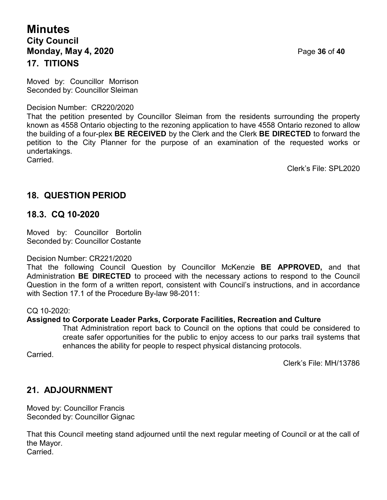## **Minutes City Council Monday, May 4, 2020** Page **36** of **40 17. TITIONS**

Moved by: Councillor Morrison Seconded by: Councillor Sleiman

Decision Number: CR220/2020

That the petition presented by Councillor Sleiman from the residents surrounding the property known as 4558 Ontario objecting to the rezoning application to have 4558 Ontario rezoned to allow the building of a four-plex **BE RECEIVED** by the Clerk and the Clerk **BE DIRECTED** to forward the petition to the City Planner for the purpose of an examination of the requested works or undertakings. Carried.

Clerk's File: SPL2020

## **18. QUESTION PERIOD**

#### **18.3. CQ 10-2020**

Moved by: Councillor Bortolin Seconded by: Councillor Costante

#### Decision Number: CR221/2020

That the following Council Question by Councillor McKenzie **BE APPROVED,** and that Administration **BE DIRECTED** to proceed with the necessary actions to respond to the Council Question in the form of a written report, consistent with Council's instructions, and in accordance with Section 17.1 of the Procedure By-law 98-2011:

#### CQ 10-2020:

#### **Assigned to Corporate Leader Parks, Corporate Facilities, Recreation and Culture**

That Administration report back to Council on the options that could be considered to create safer opportunities for the public to enjoy access to our parks trail systems that enhances the ability for people to respect physical distancing protocols.

Carried.

Clerk's File: MH/13786

## **21. ADJOURNMENT**

Moved by: Councillor Francis Seconded by: Councillor Gignac

That this Council meeting stand adjourned until the next regular meeting of Council or at the call of the Mayor. Carried.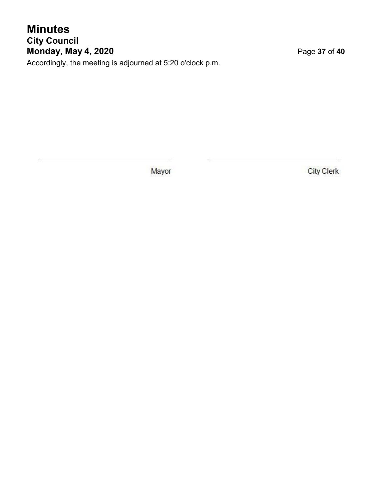# **Minutes City Council Monday, May 4, 2020** Page **37** of **40**

Accordingly, the meeting is adjourned at 5:20 o'clock p.m.

Mayor

**City Clerk**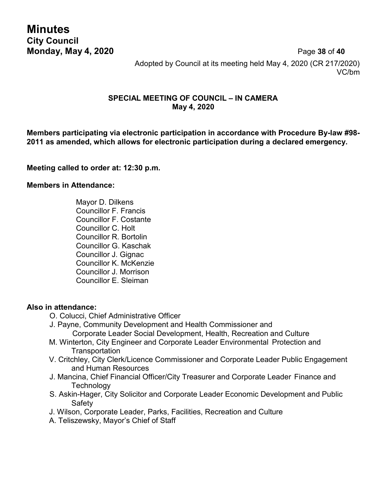**Minutes City Council**

**Monday, May 4, 2020** Page **38** of **40** Adopted by Council at its meeting held May 4, 2020 (CR 217/2020) VC/bm

#### **SPECIAL MEETING OF COUNCIL – IN CAMERA May 4, 2020**

**Members participating via electronic participation in accordance with Procedure By-law #98- 2011 as amended, which allows for electronic participation during a declared emergency.**

#### **Meeting called to order at: 12:30 p.m.**

#### **Members in Attendance:**

Mayor D. Dilkens Councillor F. Francis Councillor F. Costante Councillor C. Holt Councillor R. Bortolin Councillor G. Kaschak Councillor J. Gignac Councillor K. McKenzie Councillor J. Morrison Councillor E. Sleiman

#### **Also in attendance:**

- O. Colucci, Chief Administrative Officer
- J. Payne, Community Development and Health Commissioner and Corporate Leader Social Development, Health, Recreation and Culture
- M. Winterton, City Engineer and Corporate Leader Environmental Protection and **Transportation**
- V. Critchley, City Clerk/Licence Commissioner and Corporate Leader Public Engagement and Human Resources
- J. Mancina, Chief Financial Officer/City Treasurer and Corporate Leader Finance and **Technology**
- S. Askin-Hager, City Solicitor and Corporate Leader Economic Development and Public **Safety**
- J. Wilson, Corporate Leader, Parks, Facilities, Recreation and Culture
- A. Teliszewsky, Mayor's Chief of Staff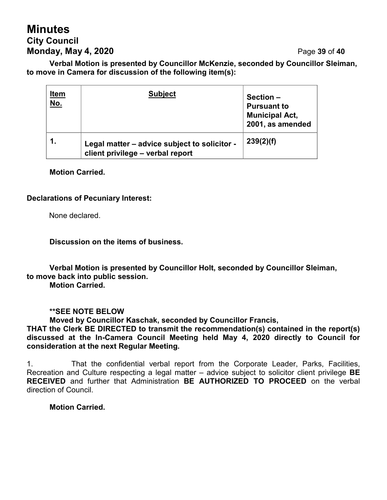# **Minutes City Council Monday, May 4, 2020** Page **39** of **40**

**Verbal Motion is presented by Councillor McKenzie, seconded by Councillor Sleiman, to move in Camera for discussion of the following item(s):**

| <u>Item</u><br><u>No.</u> | <b>Subject</b>                                                                   | Section-<br><b>Pursuant to</b><br><b>Municipal Act,</b><br>2001, as amended |
|---------------------------|----------------------------------------------------------------------------------|-----------------------------------------------------------------------------|
|                           | Legal matter - advice subject to solicitor -<br>client privilege - verbal report | 239(2)(f)                                                                   |

#### **Motion Carried.**

#### **Declarations of Pecuniary Interest:**

None declared.

**Discussion on the items of business.**

**Verbal Motion is presented by Councillor Holt, seconded by Councillor Sleiman, to move back into public session.**

**Motion Carried.**

**\*\*SEE NOTE BELOW**

**Moved by Councillor Kaschak, seconded by Councillor Francis,**

**THAT the Clerk BE DIRECTED to transmit the recommendation(s) contained in the report(s) discussed at the In-Camera Council Meeting held May 4, 2020 directly to Council for consideration at the next Regular Meeting.**

1. That the confidential verbal report from the Corporate Leader, Parks, Facilities, Recreation and Culture respecting a legal matter – advice subject to solicitor client privilege **BE RECEIVED** and further that Administration **BE AUTHORIZED TO PROCEED** on the verbal direction of Council.

**Motion Carried.**